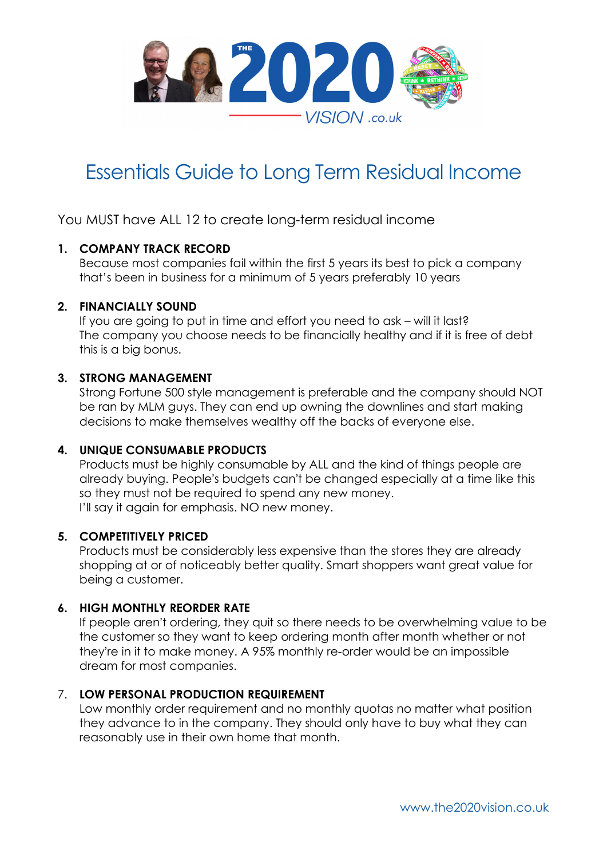

# Essentials Guide to Long Term Residual Income

You MUST have ALL 12 to create long-term residual income

## **1. COMPANY TRACK RECORD**

Because most companies fail within the first 5 years its best to pick a company that's been in business for a minimum of 5 years preferably 10 years

#### **2. FINANCIALLY SOUND**

If you are going to put in time and effort you need to ask – will it last? The company you choose needs to be financially healthy and if it is free of debt this is a big bonus.

#### **3. STRONG MANAGEMENT**

Strong Fortune 500 style management is preferable and the company should NOT be ran by MLM guys. They can end up owning the downlines and start making decisions to make themselves wealthy off the backs of everyone else.

#### **4. UNIQUE CONSUMABLE PRODUCTS**

Products must be highly consumable by ALL and the kind of things people are already buying. People's budgets can't be changed especially at a time like this so they must not be required to spend any new money. I'll say it again for emphasis. NO new money.

#### **5. COMPETITIVELY PRICED**

Products must be considerably less expensive than the stores they are already shopping at or of noticeably better quality. Smart shoppers want great value for being a customer.

#### **6. HIGH MONTHLY REORDER RATE**

If people aren't ordering, they quit so there needs to be overwhelming value to be the customer so they want to keep ordering month after month whether or not they're in it to make money. A 95% monthly re-order would be an impossible dream for most companies.

#### 7. **LOW PERSONAL PRODUCTION REQUIREMENT**

Low monthly order requirement and no monthly quotas no matter what position they advance to in the company. They should only have to buy what they can reasonably use in their own home that month.